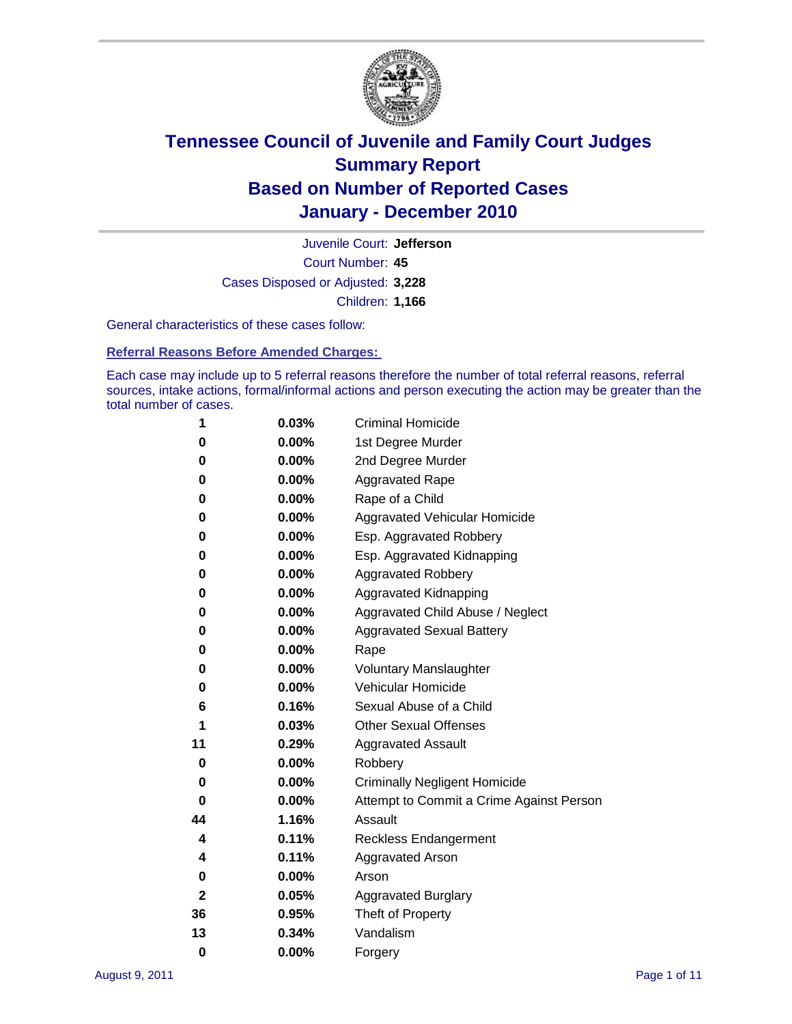

Court Number: **45** Juvenile Court: **Jefferson** Cases Disposed or Adjusted: **3,228** Children: **1,166**

General characteristics of these cases follow:

**Referral Reasons Before Amended Charges:** 

Each case may include up to 5 referral reasons therefore the number of total referral reasons, referral sources, intake actions, formal/informal actions and person executing the action may be greater than the total number of cases.

| 1  | 0.03%    | <b>Criminal Homicide</b>                 |  |  |
|----|----------|------------------------------------------|--|--|
| 0  | 0.00%    | 1st Degree Murder                        |  |  |
| 0  | 0.00%    | 2nd Degree Murder                        |  |  |
| 0  | 0.00%    | <b>Aggravated Rape</b>                   |  |  |
| 0  | 0.00%    | Rape of a Child                          |  |  |
| 0  | 0.00%    | Aggravated Vehicular Homicide            |  |  |
| 0  | 0.00%    | Esp. Aggravated Robbery                  |  |  |
| 0  | 0.00%    | Esp. Aggravated Kidnapping               |  |  |
| 0  | 0.00%    | <b>Aggravated Robbery</b>                |  |  |
| 0  | 0.00%    | Aggravated Kidnapping                    |  |  |
| 0  | 0.00%    | Aggravated Child Abuse / Neglect         |  |  |
| 0  | $0.00\%$ | <b>Aggravated Sexual Battery</b>         |  |  |
| 0  | 0.00%    | Rape                                     |  |  |
| 0  | $0.00\%$ | <b>Voluntary Manslaughter</b>            |  |  |
| 0  | 0.00%    | Vehicular Homicide                       |  |  |
| 6  | 0.16%    | Sexual Abuse of a Child                  |  |  |
| 1  | 0.03%    | <b>Other Sexual Offenses</b>             |  |  |
| 11 | 0.29%    | <b>Aggravated Assault</b>                |  |  |
| 0  | $0.00\%$ | Robbery                                  |  |  |
| 0  | 0.00%    | <b>Criminally Negligent Homicide</b>     |  |  |
| 0  | 0.00%    | Attempt to Commit a Crime Against Person |  |  |
| 44 | 1.16%    | Assault                                  |  |  |
| 4  | 0.11%    | <b>Reckless Endangerment</b>             |  |  |
| 4  | 0.11%    | <b>Aggravated Arson</b>                  |  |  |
| 0  | 0.00%    | Arson                                    |  |  |
| 2  | 0.05%    | <b>Aggravated Burglary</b>               |  |  |
| 36 | 0.95%    | Theft of Property                        |  |  |
| 13 | 0.34%    | Vandalism                                |  |  |
| 0  | 0.00%    | Forgery                                  |  |  |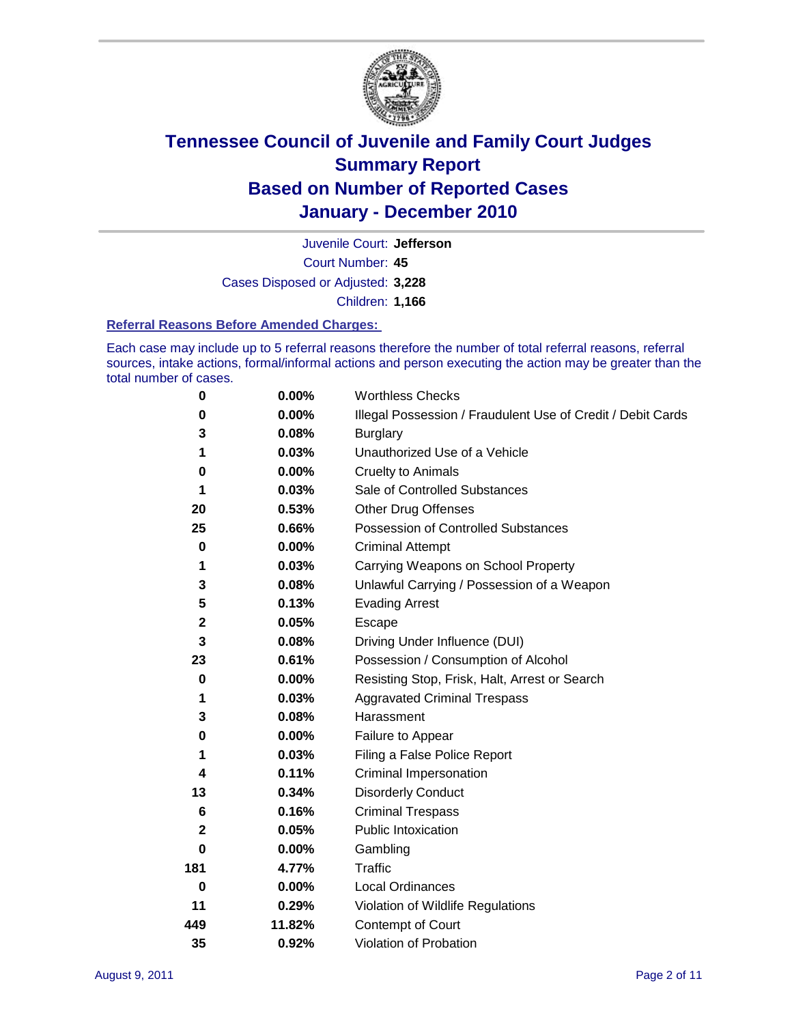

Court Number: **45** Juvenile Court: **Jefferson** Cases Disposed or Adjusted: **3,228** Children: **1,166**

#### **Referral Reasons Before Amended Charges:**

Each case may include up to 5 referral reasons therefore the number of total referral reasons, referral sources, intake actions, formal/informal actions and person executing the action may be greater than the total number of cases.

| $\pmb{0}$   | 0.00%    | <b>Worthless Checks</b>                                     |  |  |
|-------------|----------|-------------------------------------------------------------|--|--|
| 0           | 0.00%    | Illegal Possession / Fraudulent Use of Credit / Debit Cards |  |  |
| 3           | 0.08%    | <b>Burglary</b>                                             |  |  |
| 1           | 0.03%    | Unauthorized Use of a Vehicle                               |  |  |
| 0           | $0.00\%$ | <b>Cruelty to Animals</b>                                   |  |  |
| 1           | 0.03%    | Sale of Controlled Substances                               |  |  |
| 20          | 0.53%    | <b>Other Drug Offenses</b>                                  |  |  |
| 25          | 0.66%    | Possession of Controlled Substances                         |  |  |
| 0           | $0.00\%$ | <b>Criminal Attempt</b>                                     |  |  |
| 1           | 0.03%    | Carrying Weapons on School Property                         |  |  |
| 3           | 0.08%    | Unlawful Carrying / Possession of a Weapon                  |  |  |
| 5           | 0.13%    | <b>Evading Arrest</b>                                       |  |  |
| $\mathbf 2$ | 0.05%    | Escape                                                      |  |  |
| 3           | 0.08%    | Driving Under Influence (DUI)                               |  |  |
| 23          | 0.61%    | Possession / Consumption of Alcohol                         |  |  |
| $\pmb{0}$   | 0.00%    | Resisting Stop, Frisk, Halt, Arrest or Search               |  |  |
| 1           | 0.03%    | <b>Aggravated Criminal Trespass</b>                         |  |  |
| 3           | 0.08%    | Harassment                                                  |  |  |
| 0           | 0.00%    | Failure to Appear                                           |  |  |
| 1           | 0.03%    | Filing a False Police Report                                |  |  |
| 4           | 0.11%    | Criminal Impersonation                                      |  |  |
| 13          | 0.34%    | <b>Disorderly Conduct</b>                                   |  |  |
| 6           | 0.16%    | <b>Criminal Trespass</b>                                    |  |  |
| 2           | 0.05%    | Public Intoxication                                         |  |  |
| 0           | $0.00\%$ | Gambling                                                    |  |  |
| 181         | 4.77%    | <b>Traffic</b>                                              |  |  |
| $\mathbf 0$ | $0.00\%$ | Local Ordinances                                            |  |  |
| 11          | 0.29%    | Violation of Wildlife Regulations                           |  |  |
| 449         | 11.82%   | Contempt of Court                                           |  |  |
| 35          | 0.92%    | Violation of Probation                                      |  |  |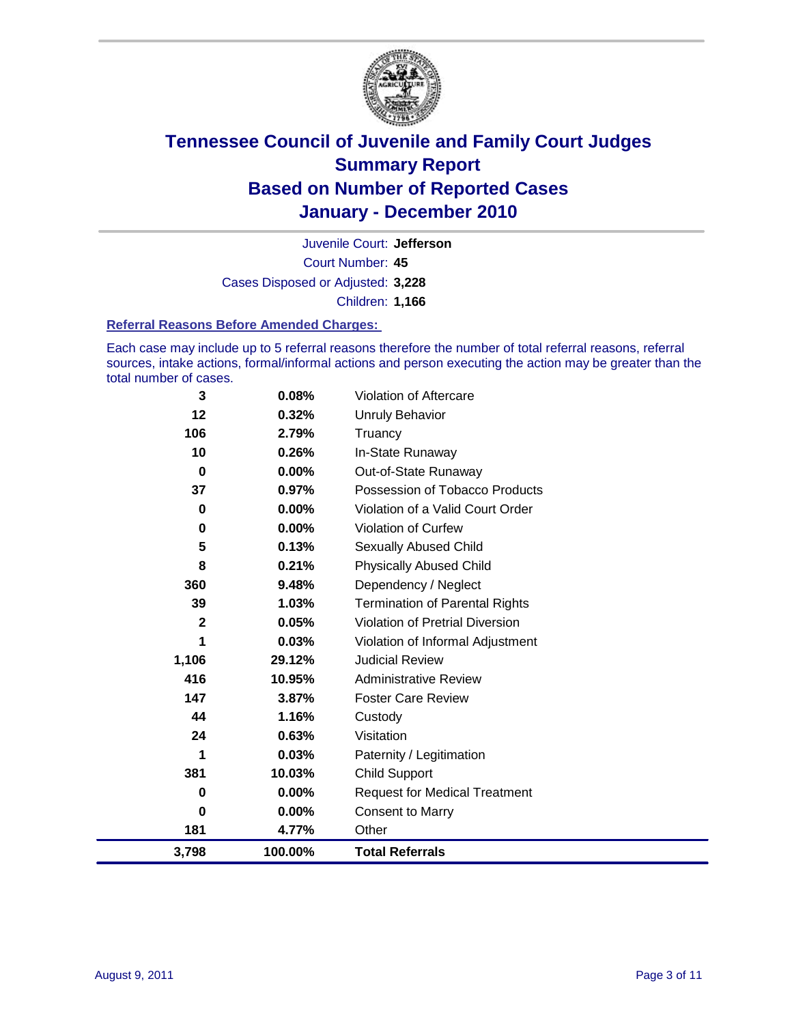

Court Number: **45** Juvenile Court: **Jefferson** Cases Disposed or Adjusted: **3,228** Children: **1,166**

#### **Referral Reasons Before Amended Charges:**

Each case may include up to 5 referral reasons therefore the number of total referral reasons, referral sources, intake actions, formal/informal actions and person executing the action may be greater than the total number of cases.

| 3              | 0.08%   | Violation of Aftercare                 |
|----------------|---------|----------------------------------------|
| 12             | 0.32%   | Unruly Behavior                        |
| 106            | 2.79%   | Truancy                                |
| 10             | 0.26%   | In-State Runaway                       |
| 0              | 0.00%   | Out-of-State Runaway                   |
| 37             | 0.97%   | Possession of Tobacco Products         |
| 0              | 0.00%   | Violation of a Valid Court Order       |
| 0              | 0.00%   | Violation of Curfew                    |
| 5              | 0.13%   | Sexually Abused Child                  |
| 8              | 0.21%   | <b>Physically Abused Child</b>         |
| 360            | 9.48%   | Dependency / Neglect                   |
| 39             | 1.03%   | <b>Termination of Parental Rights</b>  |
| $\overline{2}$ | 0.05%   | <b>Violation of Pretrial Diversion</b> |
| 1              | 0.03%   | Violation of Informal Adjustment       |
| 1,106          | 29.12%  | <b>Judicial Review</b>                 |
| 416            | 10.95%  | <b>Administrative Review</b>           |
| 147            | 3.87%   | <b>Foster Care Review</b>              |
| 44             | 1.16%   | Custody                                |
| 24             | 0.63%   | Visitation                             |
| 1              | 0.03%   | Paternity / Legitimation               |
| 381            | 10.03%  | <b>Child Support</b>                   |
| 0              | 0.00%   | <b>Request for Medical Treatment</b>   |
| 0              | 0.00%   | <b>Consent to Marry</b>                |
| 181            | 4.77%   | Other                                  |
| 3,798          | 100.00% | <b>Total Referrals</b>                 |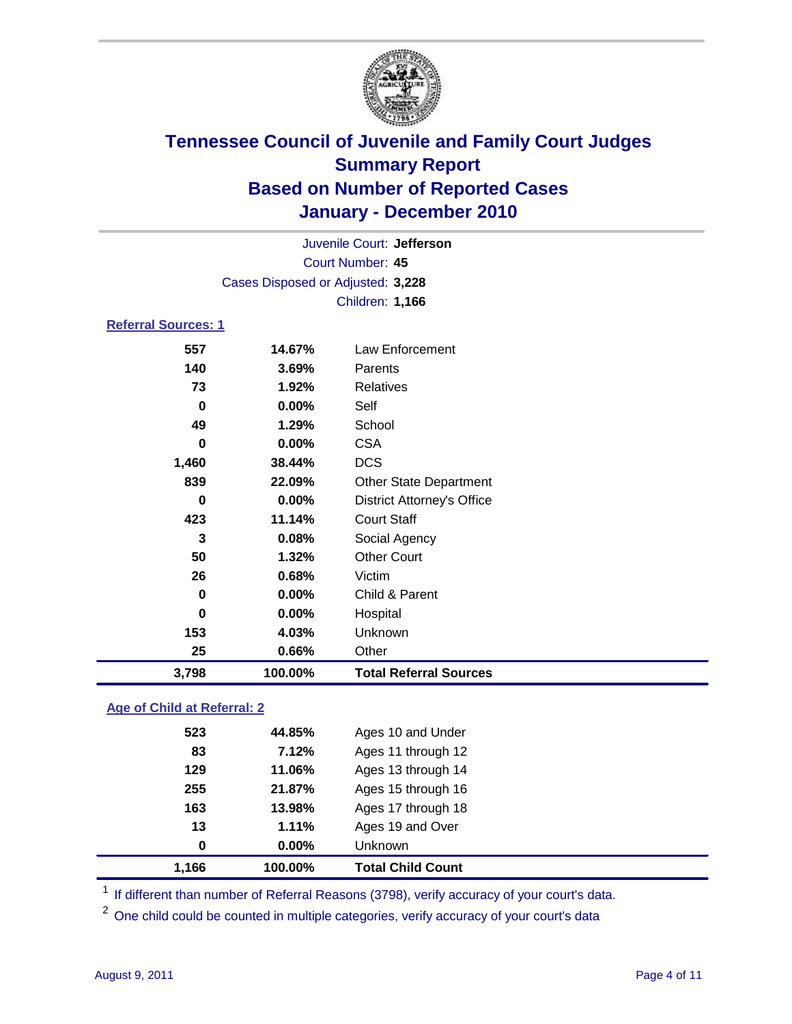

| Juvenile Court: Jefferson  |                                   |                                   |  |  |  |
|----------------------------|-----------------------------------|-----------------------------------|--|--|--|
|                            | Court Number: 45                  |                                   |  |  |  |
|                            | Cases Disposed or Adjusted: 3,228 |                                   |  |  |  |
|                            | Children: 1,166                   |                                   |  |  |  |
| <b>Referral Sources: 1</b> |                                   |                                   |  |  |  |
| 557                        | 14.67%                            | Law Enforcement                   |  |  |  |
| 140                        | 3.69%                             | Parents                           |  |  |  |
| 73                         | 1.92%                             | <b>Relatives</b>                  |  |  |  |
| $\bf{0}$                   | 0.00%                             | Self                              |  |  |  |
| 49                         | 1.29%                             | School                            |  |  |  |
| 0                          | 0.00%                             | <b>CSA</b>                        |  |  |  |
| 1,460                      | 38.44%                            | <b>DCS</b>                        |  |  |  |
| 839                        | 22.09%                            | <b>Other State Department</b>     |  |  |  |
| $\bf{0}$                   | 0.00%                             | <b>District Attorney's Office</b> |  |  |  |
| 423                        | 11.14%                            | <b>Court Staff</b>                |  |  |  |
| 3                          | 0.08%                             | Social Agency                     |  |  |  |
| 50                         | 1.32%                             | <b>Other Court</b>                |  |  |  |
| 26                         | 0.68%                             | Victim                            |  |  |  |
| $\mathbf 0$                | 0.00%                             | Child & Parent                    |  |  |  |
| $\bf{0}$                   | 0.00%                             | Hospital                          |  |  |  |
| 153                        | 4.03%                             | Unknown                           |  |  |  |
| 25                         | 0.66%                             | Other                             |  |  |  |
| 3,798                      | 100.00%                           | <b>Total Referral Sources</b>     |  |  |  |

### **Age of Child at Referral: 2**

| 13<br>0 | 1.11%<br>0.00% | Ages 19 and Over<br>Unknown |
|---------|----------------|-----------------------------|
|         |                |                             |
|         |                |                             |
|         | 13.98%         | Ages 17 through 18          |
| 255     | 21.87%         | Ages 15 through 16          |
| 129     | 11.06%         | Ages 13 through 14          |
| 83      | 7.12%          | Ages 11 through 12          |
| 523     | 44.85%         | Ages 10 and Under           |
|         | 163            |                             |

<sup>1</sup> If different than number of Referral Reasons (3798), verify accuracy of your court's data.

<sup>2</sup> One child could be counted in multiple categories, verify accuracy of your court's data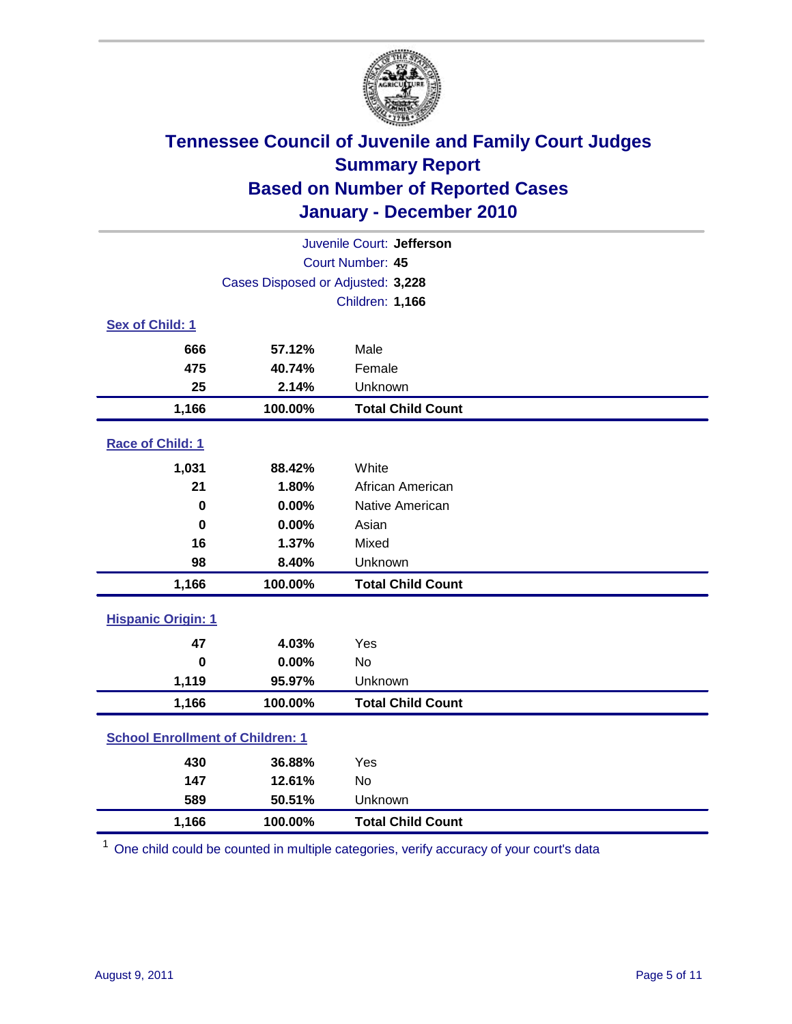

| Juvenile Court: Jefferson               |                                   |                          |  |  |  |
|-----------------------------------------|-----------------------------------|--------------------------|--|--|--|
| Court Number: 45                        |                                   |                          |  |  |  |
|                                         | Cases Disposed or Adjusted: 3,228 |                          |  |  |  |
|                                         |                                   | <b>Children: 1,166</b>   |  |  |  |
| Sex of Child: 1                         |                                   |                          |  |  |  |
| 666                                     | 57.12%                            | Male                     |  |  |  |
| 475                                     | 40.74%                            | Female                   |  |  |  |
| 25                                      | 2.14%                             | Unknown                  |  |  |  |
| 1,166                                   | 100.00%                           | <b>Total Child Count</b> |  |  |  |
| Race of Child: 1                        |                                   |                          |  |  |  |
| 1,031                                   | 88.42%                            | White                    |  |  |  |
| 21                                      | 1.80%                             | African American         |  |  |  |
| $\mathbf 0$                             | 0.00%                             | Native American          |  |  |  |
| $\bf{0}$                                | 0.00%                             | Asian                    |  |  |  |
| 16                                      | 1.37%                             | Mixed                    |  |  |  |
| 98                                      | 8.40%                             | Unknown                  |  |  |  |
| 1,166                                   | 100.00%                           | <b>Total Child Count</b> |  |  |  |
| <b>Hispanic Origin: 1</b>               |                                   |                          |  |  |  |
| 47                                      | 4.03%                             | Yes                      |  |  |  |
| $\bf{0}$                                | 0.00%                             | No                       |  |  |  |
| 1,119                                   | 95.97%                            | Unknown                  |  |  |  |
| 1,166                                   | 100.00%                           | <b>Total Child Count</b> |  |  |  |
| <b>School Enrollment of Children: 1</b> |                                   |                          |  |  |  |
| 430                                     | 36.88%                            | Yes                      |  |  |  |
| 147                                     | 12.61%                            | No                       |  |  |  |
| 589                                     | 50.51%                            | Unknown                  |  |  |  |
| 1,166                                   | 100.00%                           | <b>Total Child Count</b> |  |  |  |

<sup>1</sup> One child could be counted in multiple categories, verify accuracy of your court's data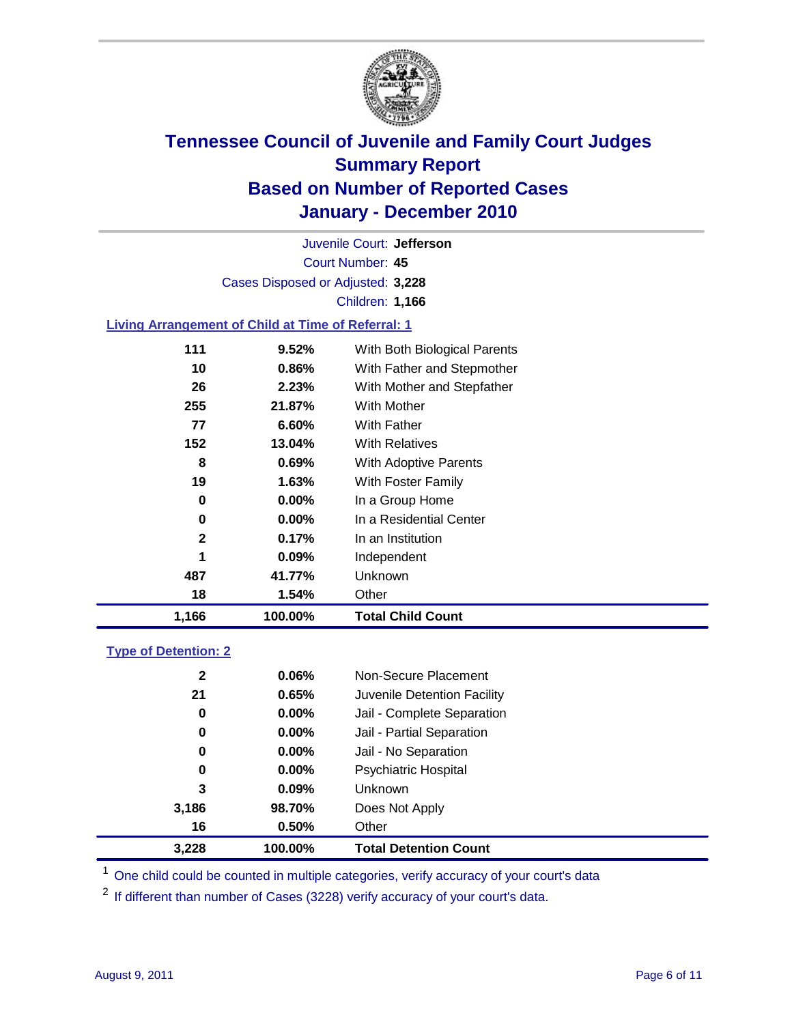

Court Number: **45** Juvenile Court: **Jefferson** Cases Disposed or Adjusted: **3,228** Children: **1,166**

### **Living Arrangement of Child at Time of Referral: 1**

| 1,166 | 100.00%               | <b>Total Child Count</b>     |
|-------|-----------------------|------------------------------|
| 18    | 1.54%                 | Other                        |
| 487   | 41.77%                | Unknown                      |
|       | 1<br>0.09%            | Independent                  |
|       | $\mathbf{2}$<br>0.17% | In an Institution            |
|       | 0<br>$0.00\%$         | In a Residential Center      |
|       | 0<br>$0.00\%$         | In a Group Home              |
| 19    | 1.63%                 | With Foster Family           |
|       | 8<br>0.69%            | With Adoptive Parents        |
| 152   | 13.04%                | <b>With Relatives</b>        |
| 77    | 6.60%                 | <b>With Father</b>           |
| 255   | 21.87%                | <b>With Mother</b>           |
| 26    | 2.23%                 | With Mother and Stepfather   |
| 10    | $0.86\%$              | With Father and Stepmother   |
| 111   | 9.52%                 | With Both Biological Parents |
|       |                       |                              |

### **Type of Detention: 2**

| 3,228        | 100.00%  | <b>Total Detention Count</b> |  |
|--------------|----------|------------------------------|--|
| 16           | 0.50%    | Other                        |  |
| 3,186        | 98.70%   | Does Not Apply               |  |
| 3            | $0.09\%$ | Unknown                      |  |
| 0            | 0.00%    | <b>Psychiatric Hospital</b>  |  |
| 0            | 0.00%    | Jail - No Separation         |  |
| 0            | $0.00\%$ | Jail - Partial Separation    |  |
| 0            | 0.00%    | Jail - Complete Separation   |  |
| 21           | 0.65%    | Juvenile Detention Facility  |  |
| $\mathbf{2}$ | 0.06%    | Non-Secure Placement         |  |
|              |          |                              |  |

<sup>1</sup> One child could be counted in multiple categories, verify accuracy of your court's data

<sup>2</sup> If different than number of Cases (3228) verify accuracy of your court's data.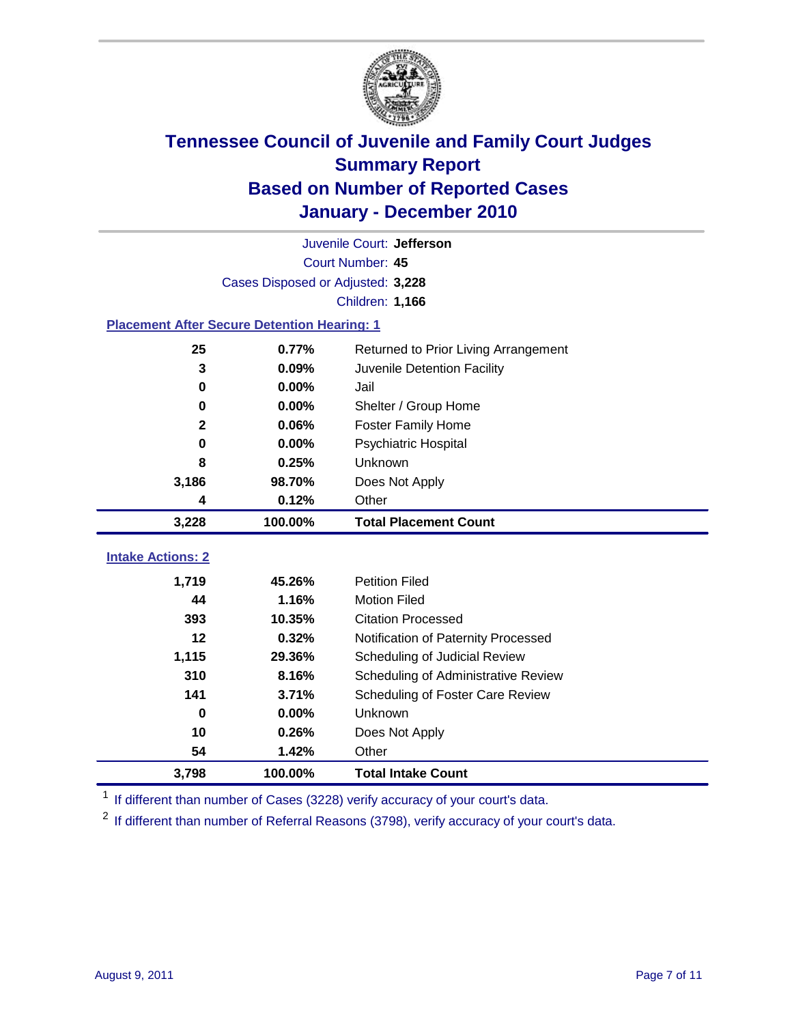

| Juvenile Court: Jefferson                          |                                   |                                      |  |  |  |
|----------------------------------------------------|-----------------------------------|--------------------------------------|--|--|--|
|                                                    | Court Number: 45                  |                                      |  |  |  |
|                                                    | Cases Disposed or Adjusted: 3,228 |                                      |  |  |  |
|                                                    |                                   | Children: 1,166                      |  |  |  |
| <b>Placement After Secure Detention Hearing: 1</b> |                                   |                                      |  |  |  |
| 25                                                 | 0.77%                             | Returned to Prior Living Arrangement |  |  |  |
| 3                                                  | 0.09%                             | Juvenile Detention Facility          |  |  |  |
| 0                                                  | 0.00%                             | Jail                                 |  |  |  |
| 0                                                  | 0.00%                             | Shelter / Group Home                 |  |  |  |
| $\mathbf{2}$                                       | 0.06%                             | Foster Family Home                   |  |  |  |
| 0                                                  | 0.00%                             | Psychiatric Hospital                 |  |  |  |
| 8                                                  | 0.25%                             | Unknown                              |  |  |  |
| 3,186                                              | 98.70%                            | Does Not Apply                       |  |  |  |
| 4                                                  | 0.12%                             | Other                                |  |  |  |
| 3,228                                              | 100.00%                           | <b>Total Placement Count</b>         |  |  |  |
|                                                    |                                   |                                      |  |  |  |
| <b>Intake Actions: 2</b>                           |                                   |                                      |  |  |  |
| 1,719                                              | 45.26%                            | <b>Petition Filed</b>                |  |  |  |
| 44                                                 | 1.16%                             | <b>Motion Filed</b>                  |  |  |  |
| 393                                                | 10.35%                            | <b>Citation Processed</b>            |  |  |  |
| 12                                                 | 0.32%                             | Notification of Paternity Processed  |  |  |  |
| 1,115                                              | 29.36%                            | Scheduling of Judicial Review        |  |  |  |
| 310                                                | 8.16%                             | Scheduling of Administrative Review  |  |  |  |
| 141                                                | 3.71%                             | Scheduling of Foster Care Review     |  |  |  |
| $\bf{0}$                                           | 0.00%                             | Unknown                              |  |  |  |
| 10                                                 | 0.26%                             | Does Not Apply                       |  |  |  |
| 54                                                 | 1.42%                             | Other                                |  |  |  |
| 3,798                                              | 100.00%                           | <b>Total Intake Count</b>            |  |  |  |

<sup>1</sup> If different than number of Cases (3228) verify accuracy of your court's data.

<sup>2</sup> If different than number of Referral Reasons (3798), verify accuracy of your court's data.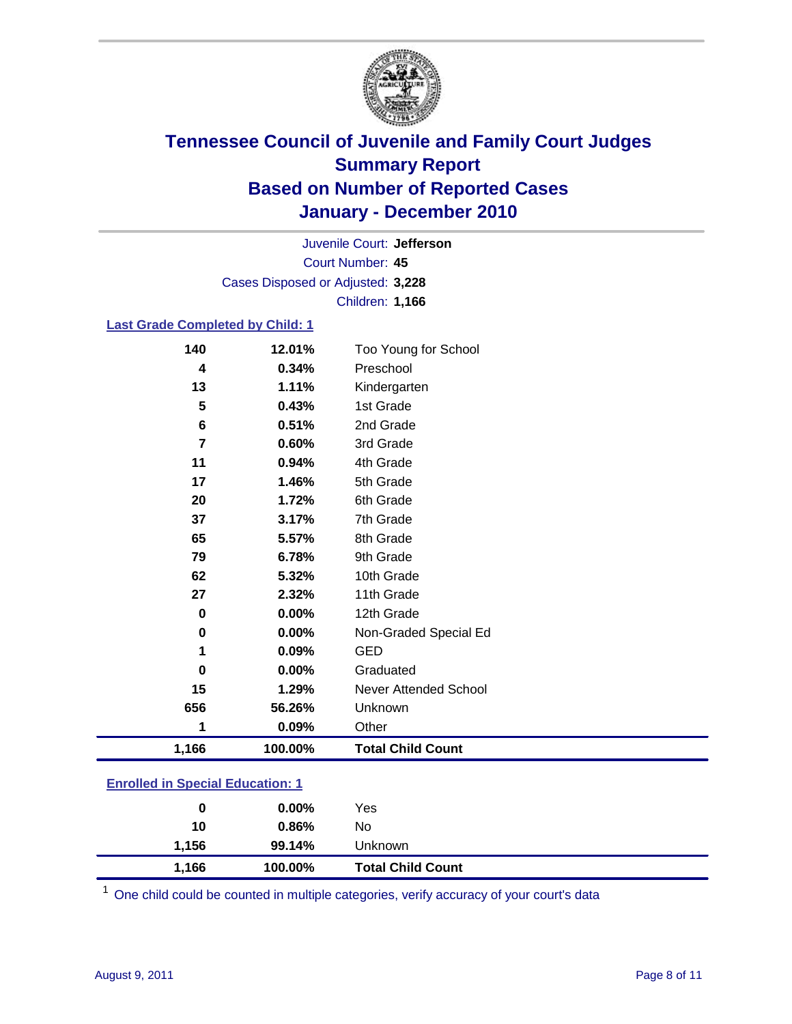

Court Number: **45** Juvenile Court: **Jefferson** Cases Disposed or Adjusted: **3,228** Children: **1,166**

#### **Last Grade Completed by Child: 1**

| 140                                     | 12.01%  | Too Young for School         |  |
|-----------------------------------------|---------|------------------------------|--|
| 4                                       | 0.34%   | Preschool                    |  |
| 13                                      | 1.11%   | Kindergarten                 |  |
| 5                                       | 0.43%   | 1st Grade                    |  |
| $6\phantom{1}$                          | 0.51%   | 2nd Grade                    |  |
| $\overline{7}$                          | 0.60%   | 3rd Grade                    |  |
| 11                                      | 0.94%   | 4th Grade                    |  |
| 17                                      | 1.46%   | 5th Grade                    |  |
| 20                                      | 1.72%   | 6th Grade                    |  |
| 37                                      | 3.17%   | 7th Grade                    |  |
| 65                                      | 5.57%   | 8th Grade                    |  |
| 79                                      | 6.78%   | 9th Grade                    |  |
| 62                                      | 5.32%   | 10th Grade                   |  |
| 27                                      | 2.32%   | 11th Grade                   |  |
| $\bf{0}$                                | 0.00%   | 12th Grade                   |  |
| 0                                       | 0.00%   | Non-Graded Special Ed        |  |
| 1                                       | 0.09%   | <b>GED</b>                   |  |
| $\bf{0}$                                | 0.00%   | Graduated                    |  |
| 15                                      | 1.29%   | <b>Never Attended School</b> |  |
| 656                                     | 56.26%  | Unknown                      |  |
| 1                                       | 0.09%   | Other                        |  |
| 1,166                                   | 100.00% | <b>Total Child Count</b>     |  |
| <b>Enrolled in Special Education: 1</b> |         |                              |  |

| 1,166 | 100.00%  | <b>Total Child Count</b> |  |  |
|-------|----------|--------------------------|--|--|
| 1.156 | 99.14%   | Unknown                  |  |  |
| 10    | 0.86%    | No                       |  |  |
| 0     | $0.00\%$ | Yes                      |  |  |
|       |          |                          |  |  |

One child could be counted in multiple categories, verify accuracy of your court's data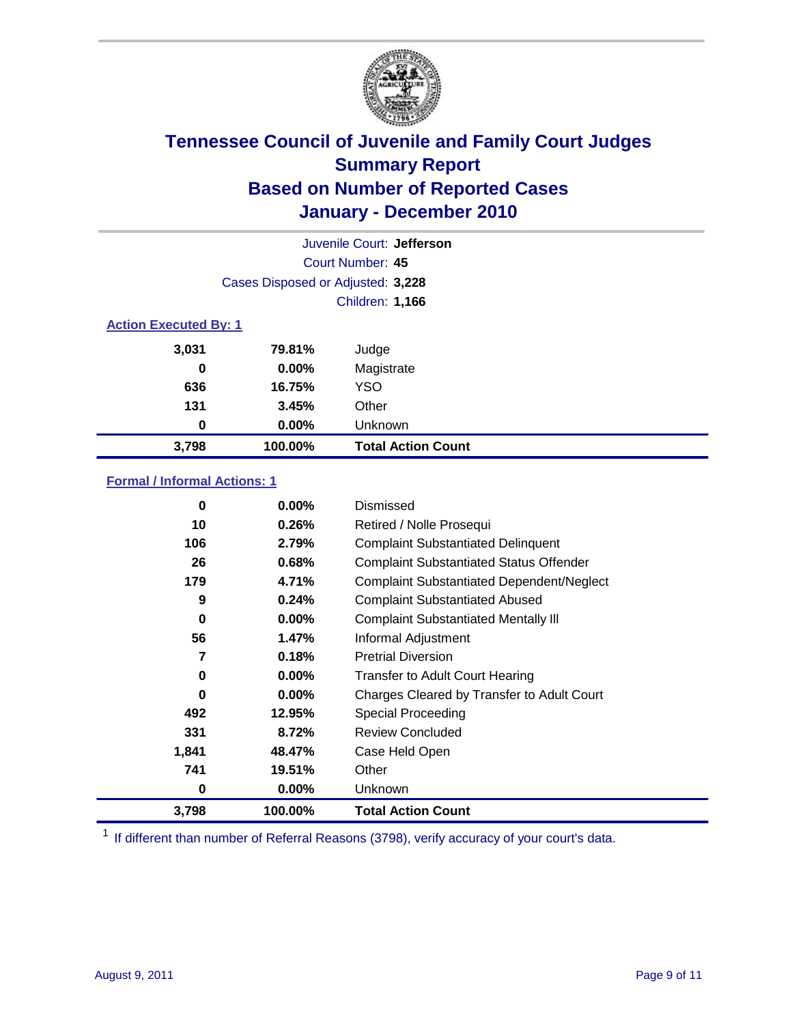

| Juvenile Court: Jefferson    |                                   |                           |  |  |
|------------------------------|-----------------------------------|---------------------------|--|--|
|                              | Court Number: 45                  |                           |  |  |
|                              | Cases Disposed or Adjusted: 3,228 |                           |  |  |
|                              | <b>Children: 1,166</b>            |                           |  |  |
| <b>Action Executed By: 1</b> |                                   |                           |  |  |
| 3,031                        | 79.81%                            | Judge                     |  |  |
| 0                            | $0.00\%$                          | Magistrate                |  |  |
| 636                          | 16.75%                            | <b>YSO</b>                |  |  |
| 131                          | 3.45%                             | Other                     |  |  |
| 0                            | 0.00%                             | Unknown                   |  |  |
| 3,798                        | 100.00%                           | <b>Total Action Count</b> |  |  |

### **Formal / Informal Actions: 1**

| 0     | $0.00\%$ | Dismissed                                        |
|-------|----------|--------------------------------------------------|
| 10    | 0.26%    | Retired / Nolle Prosequi                         |
| 106   | 2.79%    | <b>Complaint Substantiated Delinquent</b>        |
| 26    | 0.68%    | <b>Complaint Substantiated Status Offender</b>   |
| 179   | 4.71%    | <b>Complaint Substantiated Dependent/Neglect</b> |
| 9     | 0.24%    | <b>Complaint Substantiated Abused</b>            |
| 0     | $0.00\%$ | <b>Complaint Substantiated Mentally III</b>      |
| 56    | 1.47%    | Informal Adjustment                              |
| 7     | 0.18%    | <b>Pretrial Diversion</b>                        |
| 0     | $0.00\%$ | <b>Transfer to Adult Court Hearing</b>           |
| 0     | $0.00\%$ | Charges Cleared by Transfer to Adult Court       |
| 492   | 12.95%   | <b>Special Proceeding</b>                        |
| 331   | 8.72%    | <b>Review Concluded</b>                          |
| 1,841 | 48.47%   | Case Held Open                                   |
| 741   | 19.51%   | Other                                            |
| 0     | $0.00\%$ | Unknown                                          |
| 3,798 | 100.00%  | <b>Total Action Count</b>                        |

<sup>1</sup> If different than number of Referral Reasons (3798), verify accuracy of your court's data.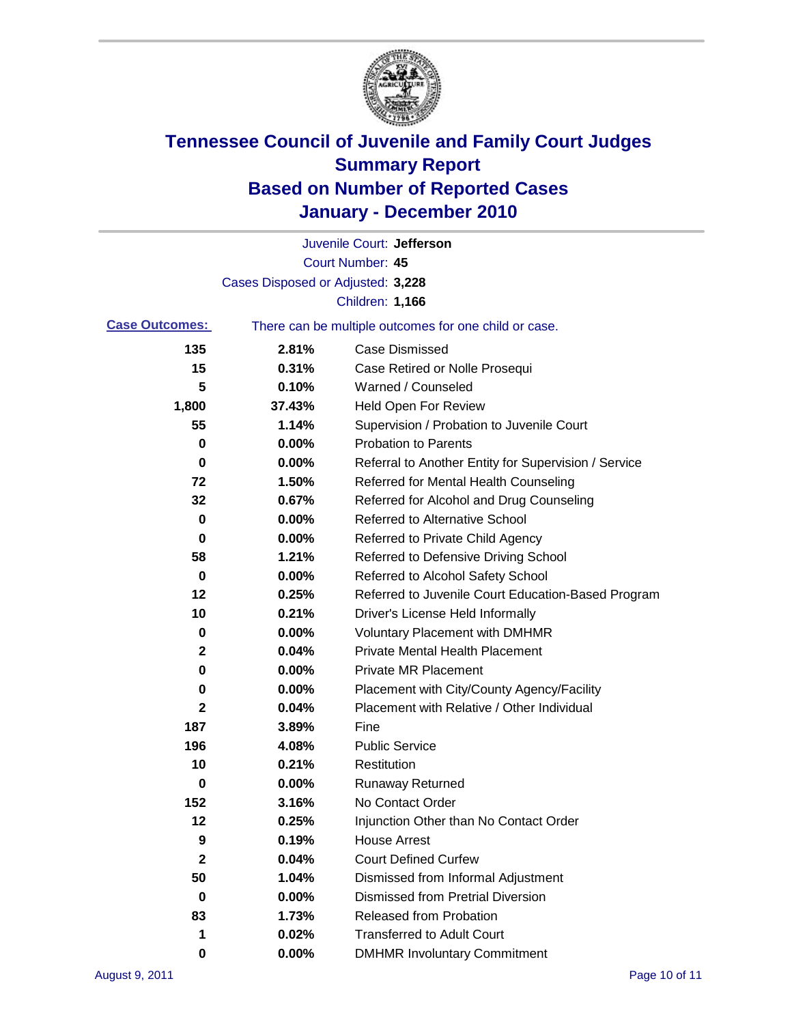

|                       |                                   | Juvenile Court: Jefferson                             |
|-----------------------|-----------------------------------|-------------------------------------------------------|
|                       |                                   | <b>Court Number: 45</b>                               |
|                       | Cases Disposed or Adjusted: 3,228 |                                                       |
|                       |                                   | Children: 1,166                                       |
| <b>Case Outcomes:</b> |                                   | There can be multiple outcomes for one child or case. |
| 135                   | 2.81%                             | <b>Case Dismissed</b>                                 |
| 15                    | 0.31%                             | Case Retired or Nolle Prosequi                        |
| 5                     | 0.10%                             | Warned / Counseled                                    |
| 1,800                 | 37.43%                            | Held Open For Review                                  |
| 55                    | 1.14%                             | Supervision / Probation to Juvenile Court             |
| 0                     | 0.00%                             | <b>Probation to Parents</b>                           |
| 0                     | 0.00%                             | Referral to Another Entity for Supervision / Service  |
| 72                    | 1.50%                             | Referred for Mental Health Counseling                 |
| 32                    | 0.67%                             | Referred for Alcohol and Drug Counseling              |
| 0                     | 0.00%                             | <b>Referred to Alternative School</b>                 |
| 0                     | 0.00%                             | Referred to Private Child Agency                      |
| 58                    | 1.21%                             | Referred to Defensive Driving School                  |
| 0                     | 0.00%                             | Referred to Alcohol Safety School                     |
| 12                    | 0.25%                             | Referred to Juvenile Court Education-Based Program    |
| 10                    | 0.21%                             | Driver's License Held Informally                      |
| 0                     | 0.00%                             | <b>Voluntary Placement with DMHMR</b>                 |
| 2                     | 0.04%                             | <b>Private Mental Health Placement</b>                |
| 0                     | 0.00%                             | <b>Private MR Placement</b>                           |
| 0                     | 0.00%                             | Placement with City/County Agency/Facility            |
| $\mathbf{2}$          | 0.04%                             | Placement with Relative / Other Individual            |
| 187                   | 3.89%                             | Fine                                                  |
| 196                   | 4.08%                             | <b>Public Service</b>                                 |
| 10                    | 0.21%                             | Restitution                                           |
| 0                     | 0.00%                             | <b>Runaway Returned</b>                               |
| 152                   | 3.16%                             | No Contact Order                                      |
| 12                    | 0.25%                             | Injunction Other than No Contact Order                |
| 9                     | 0.19%                             | <b>House Arrest</b>                                   |
| 2                     | 0.04%                             | <b>Court Defined Curfew</b>                           |
| 50                    | 1.04%                             | Dismissed from Informal Adjustment                    |
| $\bf{0}$              | $0.00\%$                          | <b>Dismissed from Pretrial Diversion</b>              |
| 83                    | 1.73%                             | Released from Probation                               |
| 1                     | 0.02%                             | <b>Transferred to Adult Court</b>                     |
| 0                     | $0.00\%$                          | <b>DMHMR Involuntary Commitment</b>                   |